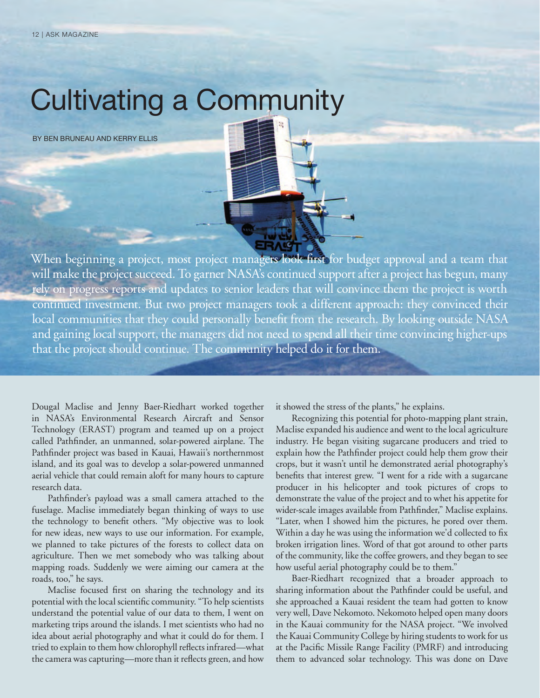## Cultivating a Community

BY BEN BRUNEAU AND KERRY ELLIS

When beginning a project, most project managers look first for budget approval and a team that will make the project succeed. To garner NASA's continued support after a project has begun, many rely on progress reports and updates to senior leaders that will convince them the project is worth continued investment. But two project managers took a different approach: they convinced their local communities that they could personally benefit from the research. By looking outside NASA and gaining local support, the managers did not need to spend all their time convincing higher-ups that the project should continue. The community helped do it for them.

 Dougal Maclise and Jenny Baer-Riedhart worked together in NASA's Environmental Research Aircraft and Sensor Technology (ERAST) program and teamed up on a project called Pathfinder, an unmanned, solar-powered airplane. The Pathfinder project was based in Kauai, Hawaii's northernmost island, and its goal was to develop a solar-powered unmanned aerial vehicle that could remain aloft for many hours to capture research data.

 Pathfinder's payload was a small camera attached to the fuselage. Maclise immediately began thinking of ways to use the technology to benefit others. "My objective was to look for new ideas, new ways to use our information. For example, we planned to take pictures of the forests to collect data on agriculture. Then we met somebody who was talking about mapping roads. Suddenly we were aiming our camera at the roads, too," he says.

 Maclise focused first on sharing the technology and its potential with thelocal scientific community. "To help scientists understand the potential value of our data to them, I went on marketing trips around the islands. I met scientists who had no idea about aerial photography and what it could do for them. I tried to explain to them how chlorophyll reflects infrared—what the camera was capturing—more than it reflects green, and how it showed the stress of the plants," he explains.

 Recognizing this potential for photo-mapping plant strain, Maclise expanded his audience and went to the local agriculture industry. He began visiting sugarcane producers and tried to explain how the Pathfinder project could help them grow their crops, but it wasn't until he demonstrated aerial photography's benefits that interest grew. "I went for a ride with a sugarcane producer in his helicopter and took pictures of crops to demonstrate the value of the project and to whet his appetite for wider-scale images available from Pathfinder," Maclise explains. "Later, when I showed him the pictures, he pored over them. Within a day he was using the information we'd collected to fix broken irrigation lines. Word of that got around to other parts of the community, like the coffee growers, and they began to see how useful aerial photography could be to them."

 Baer-Riedhart recognized that a broader approach to sharing information about the Pathfinder could be useful, and she approached a Kauai resident the team had gotten to know very well, Dave Nekomoto. Nekomoto helped open many doors in the Kauai community for the NASA project. "We involved the Kauai Community College by hiring students to work for us at the Pacific Missile Range Facility (PMRF) and introducing them to advanced solar technology. This was done on Dave